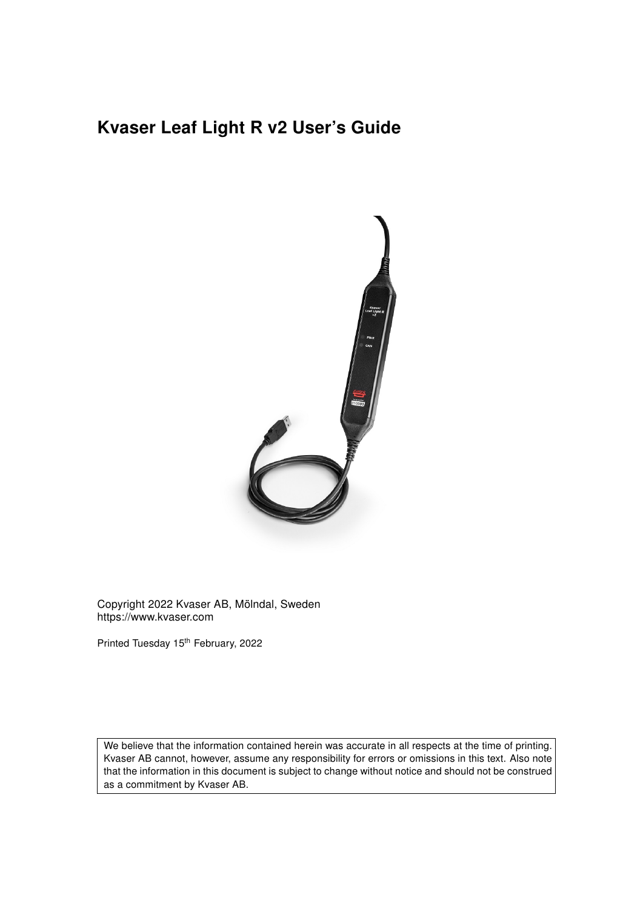# Kvaser Leaf Light R v2 User's Guide



Copyright 2022 Kvaser AB, Mölndal, Sweden https://www.kvaser.com

Printed Tuesday 15<sup>th</sup> February, 2022

We believe that the information contained herein was accurate in all respects at the time of printing. Kvaser AB cannot, however, assume any responsibility for errors or omissions in this text. Also note that the information in this document is subject to change without notice and should not be construed as a commitment by Kvaser AB.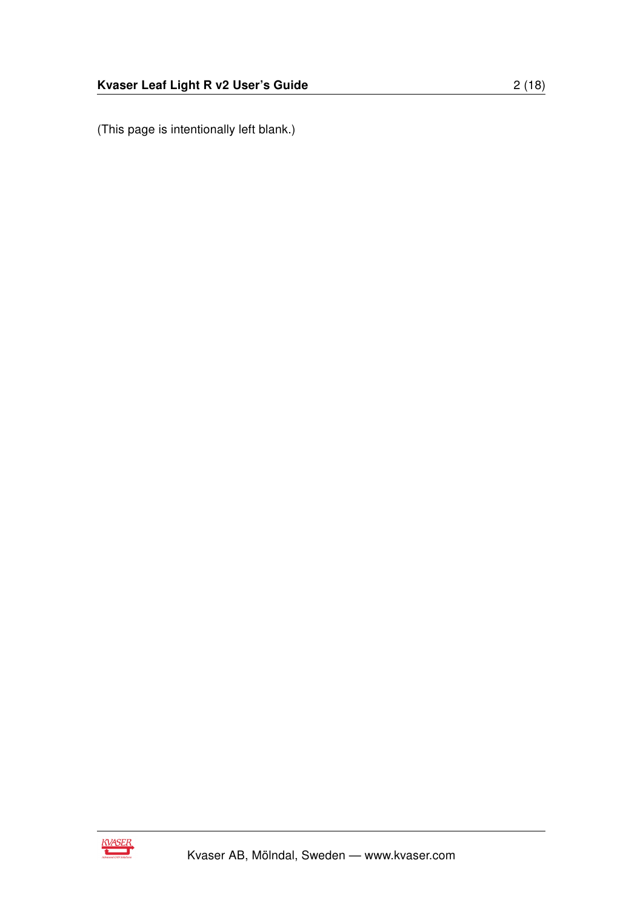(This page is intentionally left blank.)

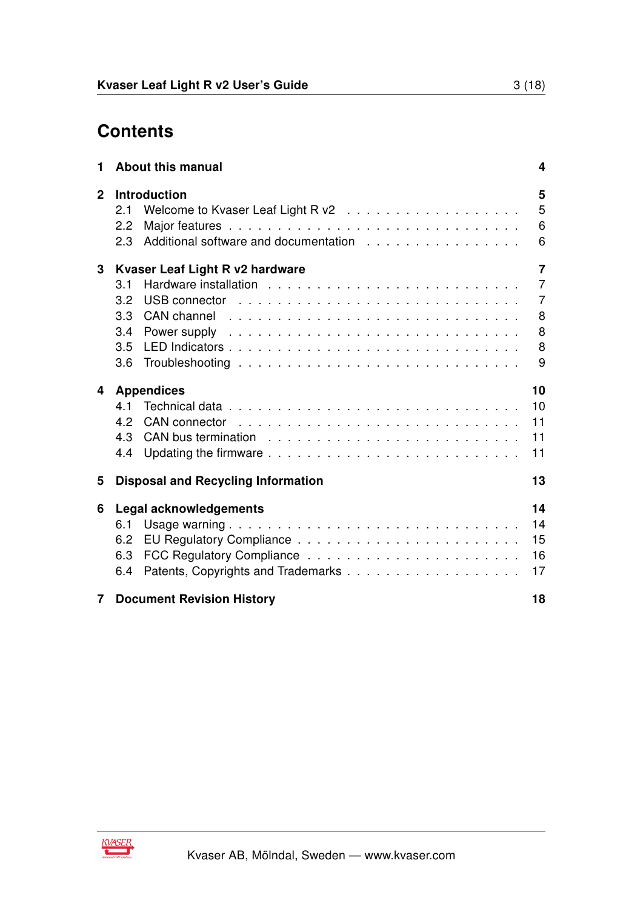# **Contents**

| 1.             |                                        | <b>About this manual</b><br>4                                                                                                                                                                                                                                     |                                                                        |  |  |
|----------------|----------------------------------------|-------------------------------------------------------------------------------------------------------------------------------------------------------------------------------------------------------------------------------------------------------------------|------------------------------------------------------------------------|--|--|
| $\overline{2}$ | 2.1<br>$2.2\phantom{0}$<br>2.3         | <b>Introduction</b><br>Additional software and documentation                                                                                                                                                                                                      | 5<br>5<br>6<br>6                                                       |  |  |
| 3              | 3.1<br>3.2<br>3.3<br>3.4<br>3.5<br>3.6 | Kvaser Leaf Light R v2 hardware<br>Power supply received a series of the contract of the contract of the contract of the contract of the contract of the contract of the contract of the contract of the contract of the contract of the contract of the contract | $\overline{7}$<br>$\overline{7}$<br>$\overline{7}$<br>8<br>8<br>8<br>9 |  |  |
| 4              | 4.1<br>4.2<br>4.3<br>4.4               | <b>Appendices</b><br>CAN connector response to the contract of the contract of the contract of the contract of the contract of the contract of the contract of the contract of the contract of the contract of the contract of the contract of the                | 10<br>10<br>11<br>11<br>11                                             |  |  |
| 5              |                                        | <b>Disposal and Recycling Information</b>                                                                                                                                                                                                                         | 13                                                                     |  |  |
| 6              | 6.1<br>6.2<br>6.3<br>6.4               | Legal acknowledgements                                                                                                                                                                                                                                            | 14<br>14<br>15<br>16<br>17                                             |  |  |
| $\overline{7}$ |                                        | <b>Document Revision History</b>                                                                                                                                                                                                                                  | 18                                                                     |  |  |

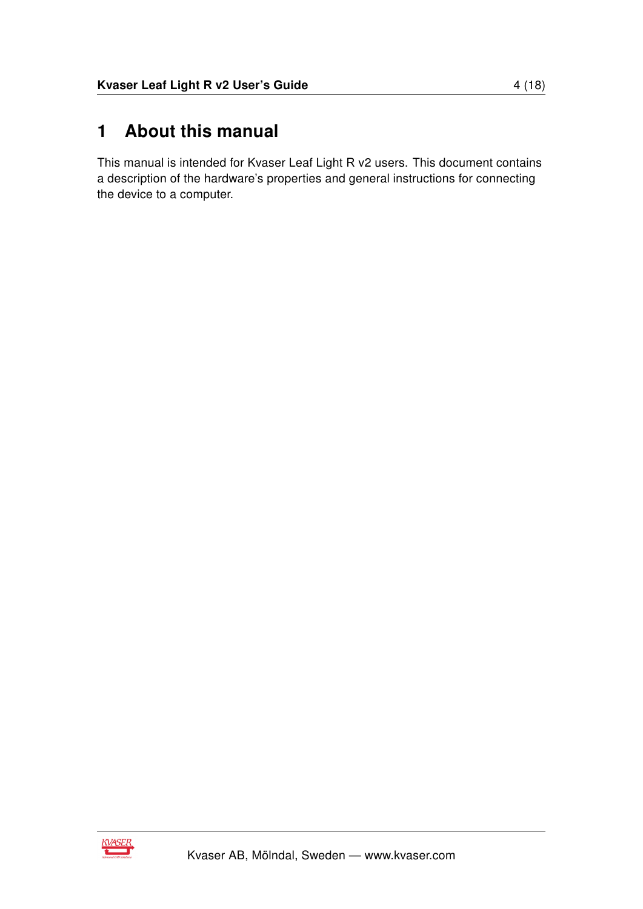# <span id="page-3-0"></span>1 About this manual

This manual is intended for Kvaser Leaf Light R v2 users. This document contains a description of the hardware's properties and general instructions for connecting the device to a computer.

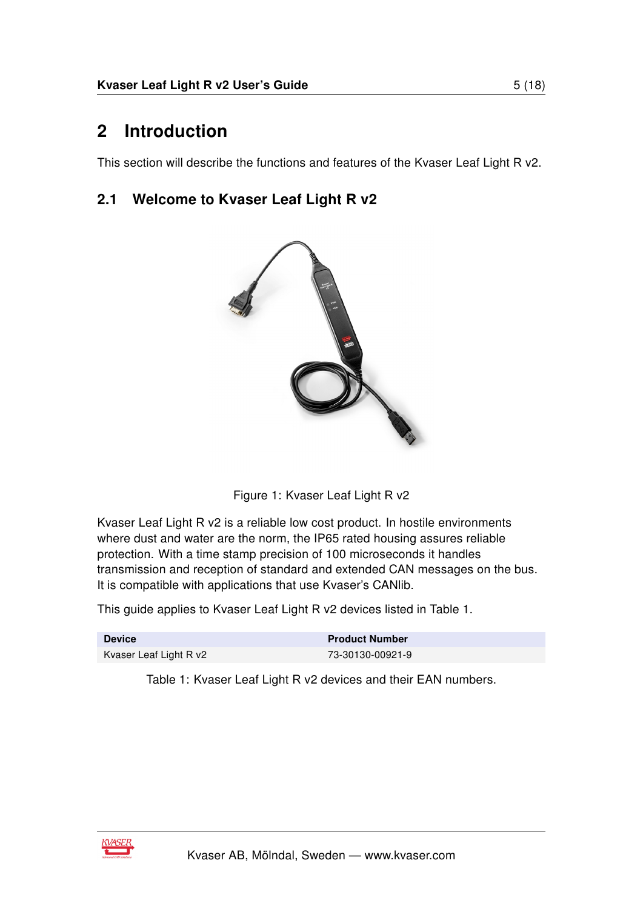# <span id="page-4-0"></span>2 Introduction

This section will describe the functions and features of the Kvaser Leaf Light R v2.

### <span id="page-4-1"></span>2.1 Welcome to Kvaser Leaf Light R v2



Figure 1: Kvaser Leaf Light R v2

Kvaser Leaf Light R v2 is a reliable low cost product. In hostile environments where dust and water are the norm, the IP65 rated housing assures reliable protection. With a time stamp precision of 100 microseconds it handles transmission and reception of standard and extended CAN messages on the bus. It is compatible with applications that use Kvaser's CANIib.

This guide applies to Kvaser Leaf Light R v2 devices listed in [Table 1.](#page-4-2)

| <b>Device</b>          | <b>Product Number</b> |
|------------------------|-----------------------|
| Kvaser Leaf Light R v2 | 73-30130-00921-9      |

<span id="page-4-2"></span>Table 1: Kvaser Leaf Light R v2 devices and their EAN numbers.

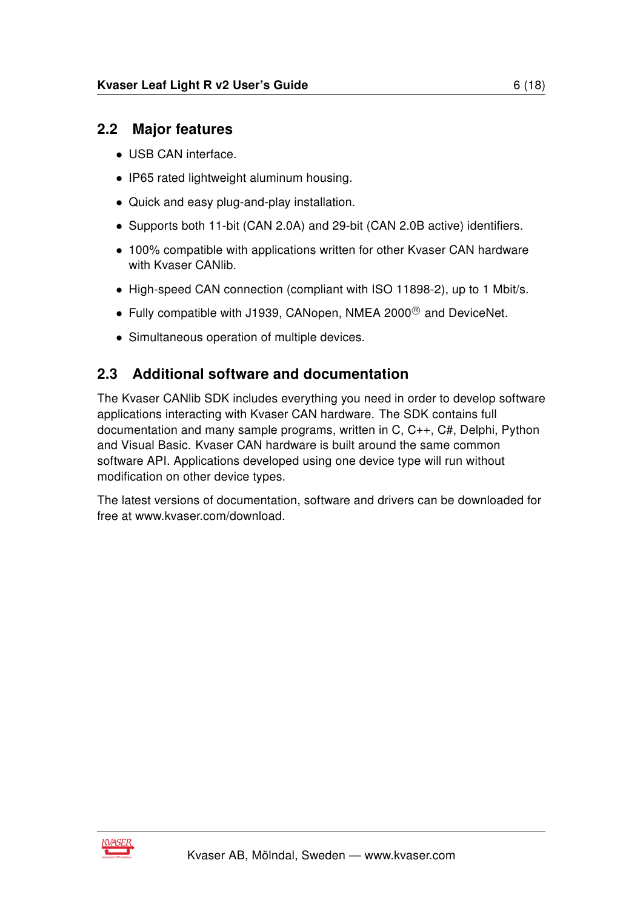#### <span id="page-5-0"></span>2.2 Major features

- USB CAN interface.
- IP65 rated lightweight aluminum housing.
- Quick and easy plug-and-play installation.
- Supports both 11-bit (CAN 2.0A) and 29-bit (CAN 2.0B active) identifiers.
- 100% compatible with applications written for other Kvaser CAN hardware with Kvaser CANlib.
- High-speed CAN connection (compliant with ISO 11898-2), up to 1 Mbit/s.
- Fully compatible with J1939, CANopen, NMEA 2000 $^{\circledR}$  and DeviceNet.
- Simultaneous operation of multiple devices.

### <span id="page-5-1"></span>2.3 Additional software and documentation

The Kvaser CANlib SDK includes everything you need in order to develop software applications interacting with Kvaser CAN hardware. The SDK contains full documentation and many sample programs, written in C, C++, C#, Delphi, Python and Visual Basic. Kvaser CAN hardware is built around the same common software API. Applications developed using one device type will run without modification on other device types.

The latest versions of documentation, software and drivers can be downloaded for free at [www.kvaser.com/download.](https://www.kvaser.com/download/)

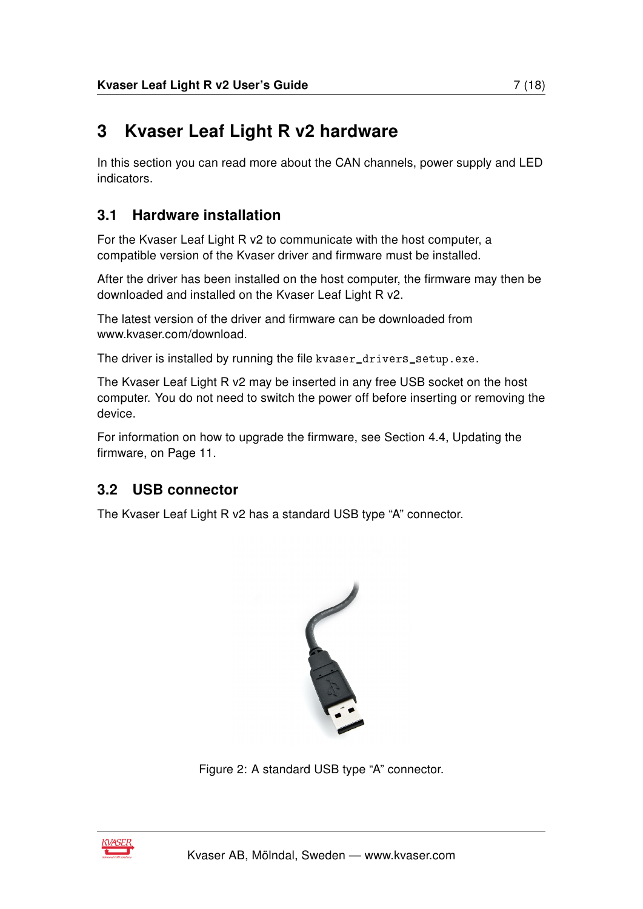# <span id="page-6-0"></span>3 Kvaser Leaf Light R v2 hardware

In this section you can read more about the CAN channels, power supply and LED indicators.

### <span id="page-6-1"></span>3.1 Hardware installation

For the Kvaser Leaf Light R v2 to communicate with the host computer, a compatible version of the Kvaser driver and firmware must be installed.

After the driver has been installed on the host computer, the firmware may then be downloaded and installed on the Kvaser Leaf Light R v2.

The latest version of the driver and firmware can be downloaded from [www.kvaser.com/download.](https://www.kvaser.com/download/)

The driver is installed by running the file kvaser\_drivers\_setup.exe.

The Kvaser Leaf Light R v2 may be inserted in any free USB socket on the host computer. You do not need to switch the power off before inserting or removing the device.

For information on how to upgrade the firmware, see [Section 4.4, Updating the](#page-10-2) [firmware, on Page 11.](#page-10-2)

### <span id="page-6-2"></span>3.2 USB connector

The Kvaser Leaf Light R v2 has a standard USB type "A" connector.



Figure 2: A standard USB type "A" connector.

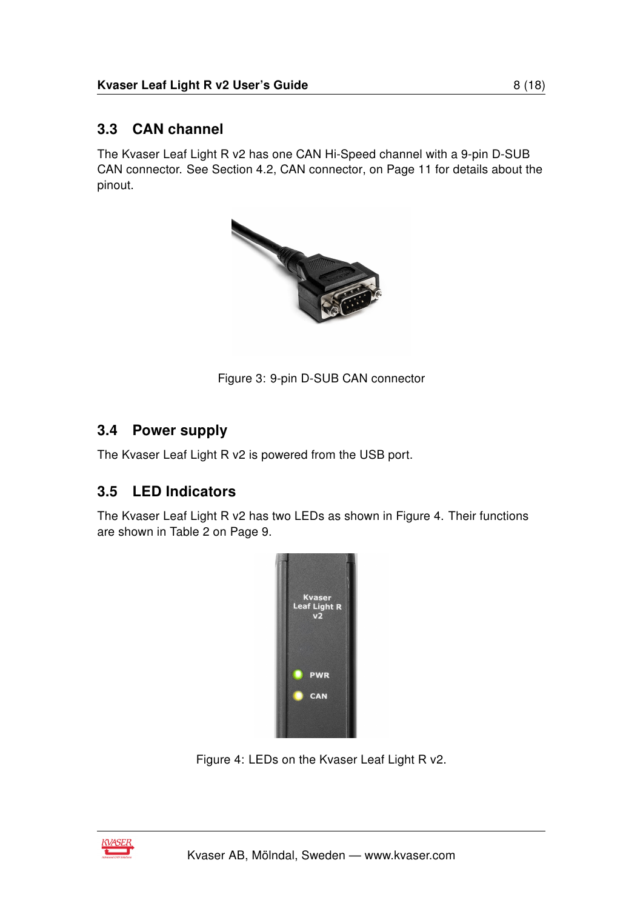#### <span id="page-7-0"></span>3.3 CAN channel

The Kvaser Leaf Light R v2 has one CAN Hi-Speed channel with a 9-pin D-SUB CAN connector. See [Section 4.2, CAN connector, on Page 11](#page-10-0) for details about the pinout.



Figure 3: 9-pin D-SUB CAN connector

### <span id="page-7-1"></span>3.4 Power supply

The Kvaser Leaf Light R v2 is powered from the USB port.

### <span id="page-7-2"></span>3.5 LED Indicators

The Kvaser Leaf Light R v2 has two LEDs as shown in [Figure 4.](#page-7-3) Their functions are shown in [Table 2 on Page 9.](#page-8-1)



<span id="page-7-3"></span>Figure 4: LEDs on the Kvaser Leaf Light R v2.

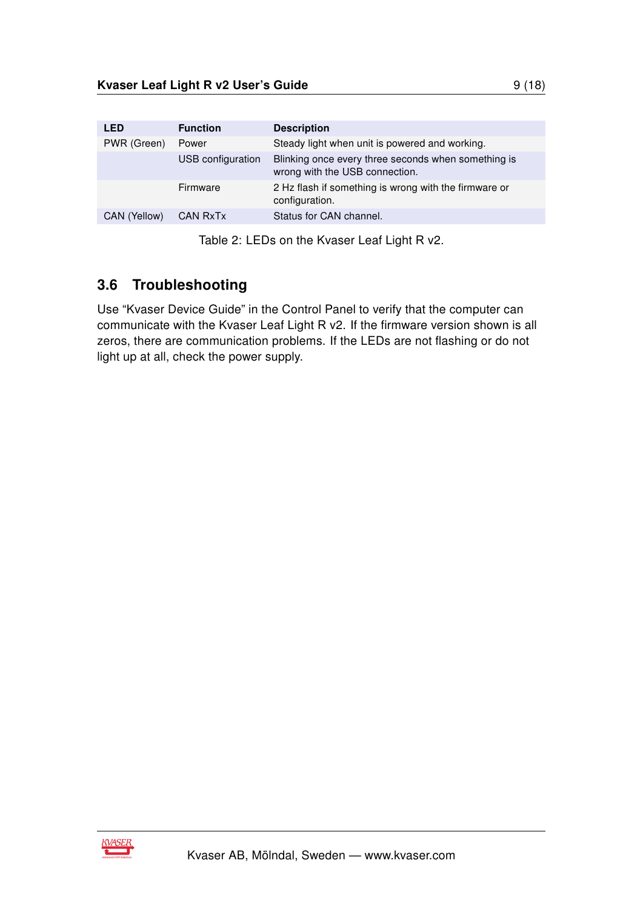| <b>LED</b>   | <b>Function</b>   | <b>Description</b>                                                                    |
|--------------|-------------------|---------------------------------------------------------------------------------------|
| PWR (Green)  | Power             | Steady light when unit is powered and working.                                        |
|              | USB configuration | Blinking once every three seconds when something is<br>wrong with the USB connection. |
|              | Firmware          | 2 Hz flash if something is wrong with the firmware or<br>configuration.               |
| CAN (Yellow) | CAN RxTx          | Status for CAN channel.                                                               |

<span id="page-8-1"></span>Table 2: LEDs on the Kvaser Leaf Light R v2.

### <span id="page-8-0"></span>3.6 Troubleshooting

Use "Kvaser Device Guide" in the Control Panel to verify that the computer can communicate with the Kvaser Leaf Light R v2. If the firmware version shown is all zeros, there are communication problems. If the LEDs are not flashing or do not light up at all, check the power supply.

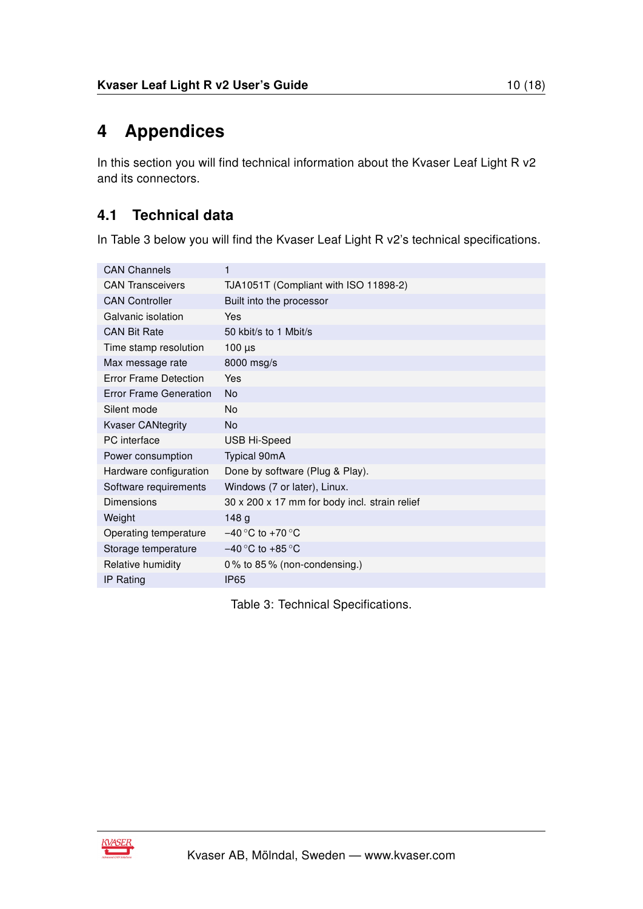# <span id="page-9-0"></span>4 Appendices

In this section you will find technical information about the Kvaser Leaf Light R v2 and its connectors.

### <span id="page-9-1"></span>4.1 Technical data

In [Table 3](#page-9-2) below you will find the Kvaser Leaf Light R v2's technical specifications.

| <b>CAN Channels</b>          | 1                                                  |
|------------------------------|----------------------------------------------------|
| <b>CAN Transceivers</b>      | TJA1051T (Compliant with ISO 11898-2)              |
| <b>CAN Controller</b>        | Built into the processor                           |
| Galvanic isolation           | Yes                                                |
| <b>CAN Bit Rate</b>          | 50 kbit/s to 1 Mbit/s                              |
| Time stamp resolution        | $100 \mu s$                                        |
| Max message rate             | 8000 msg/s                                         |
| <b>Error Frame Detection</b> | Yes                                                |
| Error Frame Generation       | <b>No</b>                                          |
| Silent mode                  | No                                                 |
| <b>Kvaser CANtegrity</b>     | <b>No</b>                                          |
| PC interface                 | USB Hi-Speed                                       |
| Power consumption            | Typical 90mA                                       |
| Hardware configuration       | Done by software (Plug & Play).                    |
| Software requirements        | Windows (7 or later), Linux.                       |
| <b>Dimensions</b>            | 30 x 200 x 17 mm for body incl. strain relief      |
| Weight                       | 148 g                                              |
| Operating temperature        | $-40\,^{\circ}$ C to +70 $^{\circ}$ C              |
| Storage temperature          | $-40\,^{\circ}\text{C}$ to $+85\,^{\circ}\text{C}$ |
| Relative humidity            | 0% to 85% (non-condensing.)                        |
| IP Rating                    | <b>IP65</b>                                        |

<span id="page-9-2"></span>Table 3: Technical Specifications.

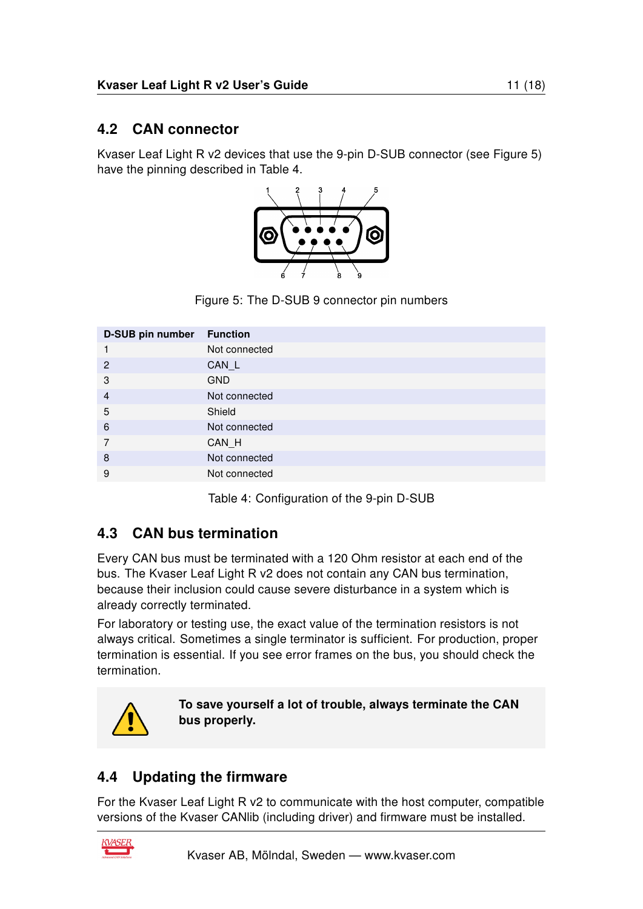#### <span id="page-10-0"></span>4.2 CAN connector

Kvaser Leaf Light R v2 devices that use the 9-pin D-SUB connector (see [Figure 5\)](#page-10-3) have the pinning described in [Table 4.](#page-10-4)



<span id="page-10-3"></span>Figure 5: The D-SUB 9 connector pin numbers

| D-SUB pin number | <b>Function</b> |
|------------------|-----------------|
|                  | Not connected   |
| 2                | CAN_L           |
| 3                | <b>GND</b>      |
| 4                | Not connected   |
| 5                | Shield          |
| 6                | Not connected   |
| 7                | CAN H           |
| 8                | Not connected   |
| 9                | Not connected   |

<span id="page-10-4"></span>Table 4: Configuration of the 9-pin D-SUB

### <span id="page-10-1"></span>4.3 CAN bus termination

Every CAN bus must be terminated with a 120 Ohm resistor at each end of the bus. The Kvaser Leaf Light R v2 does not contain any CAN bus termination, because their inclusion could cause severe disturbance in a system which is already correctly terminated.

For laboratory or testing use, the exact value of the termination resistors is not always critical. Sometimes a single terminator is sufficient. For production, proper termination is essential. If you see error frames on the bus, you should check the termination.



To save yourself a lot of trouble, always terminate the CAN bus properly.

### <span id="page-10-2"></span>4.4 Updating the firmware

For the Kvaser Leaf Light R v2 to communicate with the host computer, compatible versions of the Kvaser CANlib (including driver) and firmware must be installed.

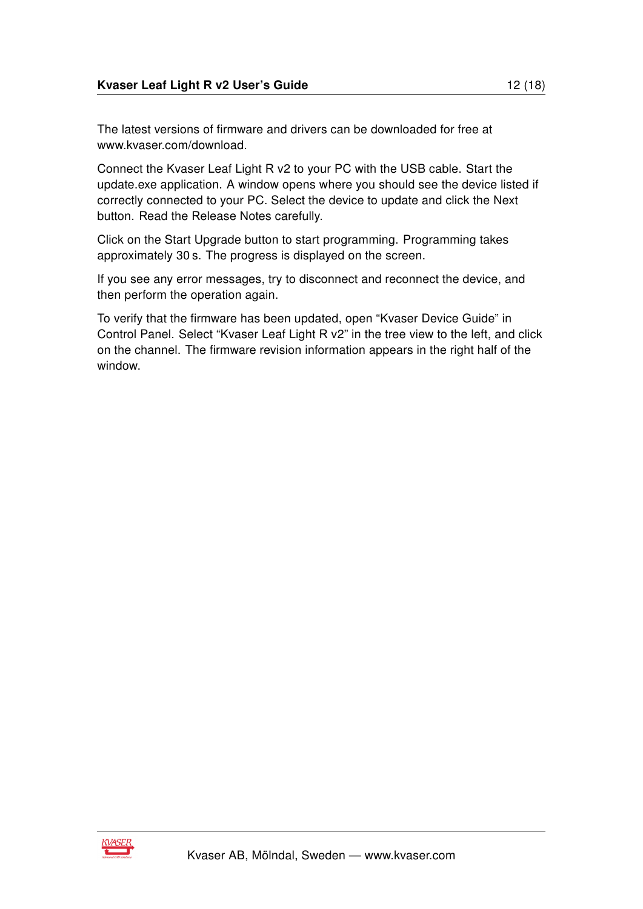The latest versions of firmware and drivers can be downloaded for free at [www.kvaser.com/download.](https://www.kvaser.com/download/)

Connect the Kvaser Leaf Light R v2 to your PC with the USB cable. Start the update.exe application. A window opens where you should see the device listed if correctly connected to your PC. Select the device to update and click the Next button. Read the Release Notes carefully.

Click on the Start Upgrade button to start programming. Programming takes approximately 30 s. The progress is displayed on the screen.

If you see any error messages, try to disconnect and reconnect the device, and then perform the operation again.

To verify that the firmware has been updated, open "Kvaser Device Guide" in Control Panel. Select "Kvaser Leaf Light R v2" in the tree view to the left, and click on the channel. The firmware revision information appears in the right half of the window.

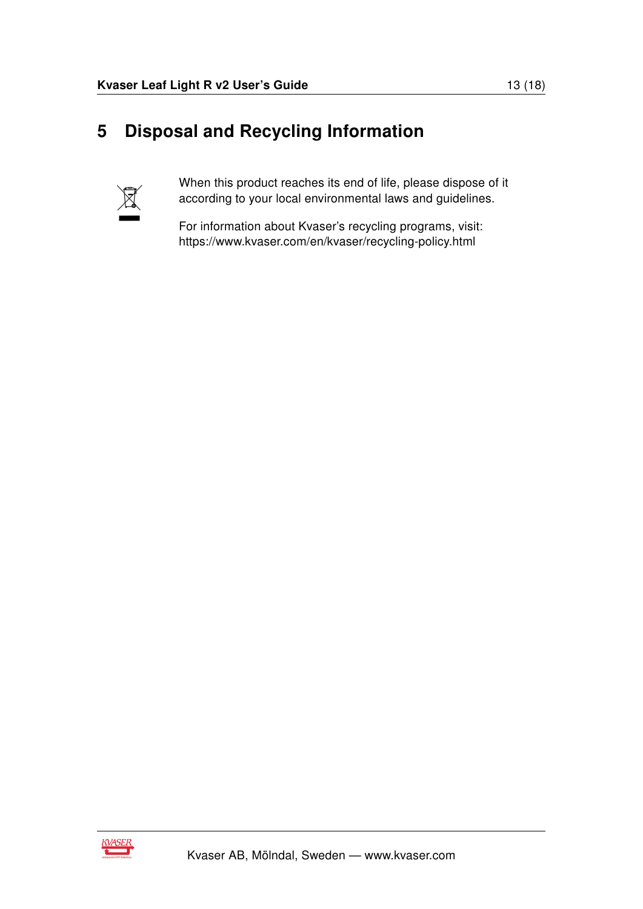# <span id="page-12-0"></span>5 Disposal and Recycling Information



When this product reaches its end of life, please dispose of it according to your local environmental laws and guidelines.

For information about Kvaser's recycling programs, visit: <https://www.kvaser.com/en/kvaser/recycling-policy.html>

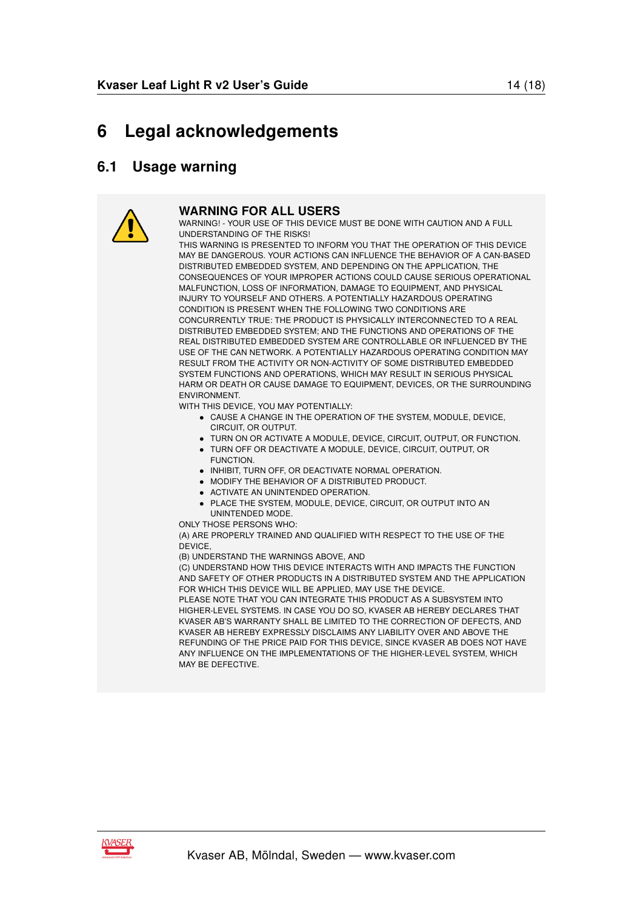# <span id="page-13-0"></span>6 Legal acknowledgements

#### <span id="page-13-1"></span>6.1 Usage warning



#### WARNING FOR ALL USERS

WARNING! - YOUR USE OF THIS DEVICE MUST BE DONE WITH CAUTION AND A FULL UNDERSTANDING OF THE RISKS!

THIS WARNING IS PRESENTED TO INFORM YOU THAT THE OPERATION OF THIS DEVICE MAY BE DANGEROUS. YOUR ACTIONS CAN INFLUENCE THE BEHAVIOR OF A CAN-BASED DISTRIBUTED EMBEDDED SYSTEM, AND DEPENDING ON THE APPLICATION, THE CONSEQUENCES OF YOUR IMPROPER ACTIONS COULD CAUSE SERIOUS OPERATIONAL MALFUNCTION, LOSS OF INFORMATION, DAMAGE TO EQUIPMENT, AND PHYSICAL INJURY TO YOURSELF AND OTHERS. A POTENTIALLY HAZARDOUS OPERATING CONDITION IS PRESENT WHEN THE FOLLOWING TWO CONDITIONS ARE CONCURRENTLY TRUE: THE PRODUCT IS PHYSICALLY INTERCONNECTED TO A REAL DISTRIBUTED EMBEDDED SYSTEM; AND THE FUNCTIONS AND OPERATIONS OF THE REAL DISTRIBUTED EMBEDDED SYSTEM ARE CONTROLLABLE OR INFLUENCED BY THE USE OF THE CAN NETWORK. A POTENTIALLY HAZARDOUS OPERATING CONDITION MAY RESULT FROM THE ACTIVITY OR NON-ACTIVITY OF SOME DISTRIBUTED EMBEDDED SYSTEM FUNCTIONS AND OPERATIONS, WHICH MAY RESULT IN SERIOUS PHYSICAL HARM OR DEATH OR CAUSE DAMAGE TO EQUIPMENT, DEVICES, OR THE SURROUNDING ENVIRONMENT.

WITH THIS DEVICE, YOU MAY POTENTIALLY:

- CAUSE A CHANGE IN THE OPERATION OF THE SYSTEM, MODULE, DEVICE, CIRCUIT, OR OUTPUT.
- TURN ON OR ACTIVATE A MODULE, DEVICE, CIRCUIT, OUTPUT, OR FUNCTION.
- TURN OFF OR DEACTIVATE A MODULE, DEVICE, CIRCUIT, OUTPUT, OR FUNCTION.
- INHIBIT, TURN OFF, OR DEACTIVATE NORMAL OPERATION.
- MODIFY THE BEHAVIOR OF A DISTRIBUTED PRODUCT.
- ACTIVATE AN UNINTENDED OPERATION.
- PLACE THE SYSTEM, MODULE, DEVICE, CIRCUIT, OR OUTPUT INTO AN UNINTENDED MODE.

ONLY THOSE PERSONS WHO:

(A) ARE PROPERLY TRAINED AND QUALIFIED WITH RESPECT TO THE USE OF THE DEVICE,

(B) UNDERSTAND THE WARNINGS ABOVE, AND

(C) UNDERSTAND HOW THIS DEVICE INTERACTS WITH AND IMPACTS THE FUNCTION AND SAFETY OF OTHER PRODUCTS IN A DISTRIBUTED SYSTEM AND THE APPLICATION FOR WHICH THIS DEVICE WILL BE APPLIED, MAY USE THE DEVICE.

PLEASE NOTE THAT YOU CAN INTEGRATE THIS PRODUCT AS A SUBSYSTEM INTO HIGHER-LEVEL SYSTEMS. IN CASE YOU DO SO, KVASER AB HEREBY DECLARES THAT KVASER AB'S WARRANTY SHALL BE LIMITED TO THE CORRECTION OF DEFECTS, AND KVASER AB HEREBY EXPRESSLY DISCLAIMS ANY LIABILITY OVER AND ABOVE THE REFUNDING OF THE PRICE PAID FOR THIS DEVICE, SINCE KVASER AB DOES NOT HAVE ANY INFLUENCE ON THE IMPLEMENTATIONS OF THE HIGHER-LEVEL SYSTEM, WHICH MAY BE DEFECTIVE.

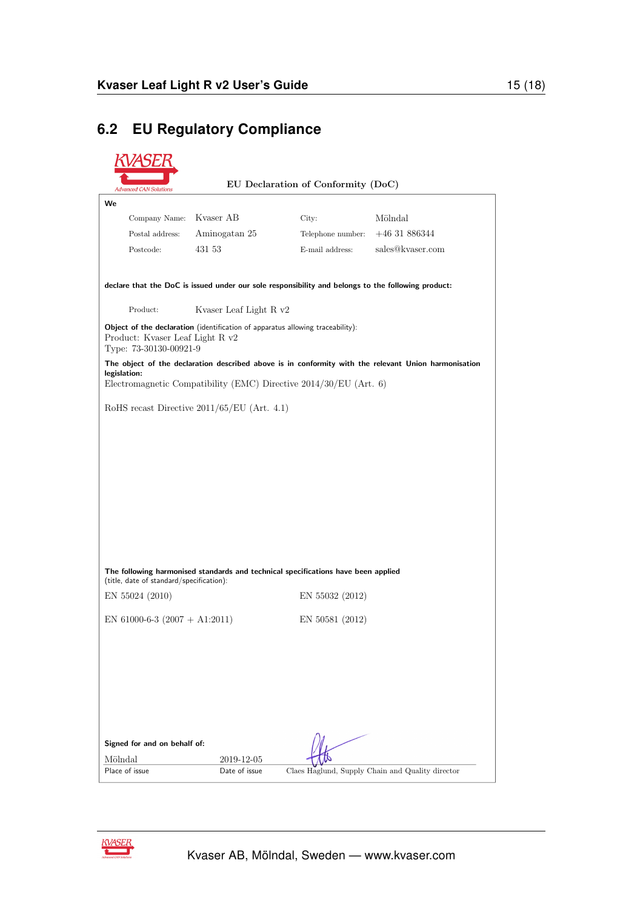# <span id="page-14-0"></span>6.2 EU Regulatory Compliance

|                                                                                                |                                                                                | EU Declaration of Conformity (DoC)                                                                 |                                                                                                      |
|------------------------------------------------------------------------------------------------|--------------------------------------------------------------------------------|----------------------------------------------------------------------------------------------------|------------------------------------------------------------------------------------------------------|
| We                                                                                             |                                                                                |                                                                                                    |                                                                                                      |
| Company Name:                                                                                  | Kvaser AB                                                                      | City:                                                                                              | Mölndal                                                                                              |
| Postal address:                                                                                | Aminogatan 25                                                                  | Telephone number:                                                                                  | $+4631886344$                                                                                        |
| Postcode:                                                                                      | 431 53                                                                         | E-mail address:                                                                                    | sales@kvaser.com                                                                                     |
|                                                                                                |                                                                                | declare that the DoC is issued under our sole responsibility and belongs to the following product: |                                                                                                      |
| Product:                                                                                       | Kvaser Leaf Light R v2                                                         |                                                                                                    |                                                                                                      |
| Product: Kvaser Leaf Light R v2<br>Type: 73-30130-00921-9                                      | Object of the declaration (identification of apparatus allowing traceability): |                                                                                                    |                                                                                                      |
| legislation:                                                                                   |                                                                                |                                                                                                    | The object of the declaration described above is in conformity with the relevant Union harmonisation |
|                                                                                                |                                                                                | Electromagnetic Compatibility (EMC) Directive 2014/30/EU (Art. 6)                                  |                                                                                                      |
|                                                                                                | RoHS recast Directive $2011/65/EU$ (Art. 4.1)                                  |                                                                                                    |                                                                                                      |
|                                                                                                |                                                                                |                                                                                                    |                                                                                                      |
|                                                                                                |                                                                                |                                                                                                    |                                                                                                      |
|                                                                                                |                                                                                |                                                                                                    |                                                                                                      |
|                                                                                                |                                                                                |                                                                                                    |                                                                                                      |
|                                                                                                |                                                                                |                                                                                                    |                                                                                                      |
|                                                                                                |                                                                                |                                                                                                    |                                                                                                      |
|                                                                                                |                                                                                |                                                                                                    |                                                                                                      |
|                                                                                                |                                                                                |                                                                                                    |                                                                                                      |
|                                                                                                |                                                                                |                                                                                                    |                                                                                                      |
|                                                                                                |                                                                                |                                                                                                    |                                                                                                      |
|                                                                                                |                                                                                |                                                                                                    |                                                                                                      |
|                                                                                                |                                                                                |                                                                                                    |                                                                                                      |
|                                                                                                |                                                                                | The following harmonised standards and technical specifications have been applied                  |                                                                                                      |
|                                                                                                |                                                                                | EN 55032 (2012)                                                                                    |                                                                                                      |
| (title, date of standard/specification):<br>EN 55024 (2010)<br>EN 61000-6-3 $(2007 + A1:2011)$ |                                                                                | EN 50581 (2012)                                                                                    |                                                                                                      |
|                                                                                                |                                                                                |                                                                                                    |                                                                                                      |
|                                                                                                |                                                                                |                                                                                                    |                                                                                                      |
|                                                                                                |                                                                                |                                                                                                    |                                                                                                      |
|                                                                                                |                                                                                |                                                                                                    |                                                                                                      |
|                                                                                                |                                                                                |                                                                                                    |                                                                                                      |
|                                                                                                |                                                                                |                                                                                                    |                                                                                                      |
|                                                                                                |                                                                                |                                                                                                    |                                                                                                      |
|                                                                                                |                                                                                |                                                                                                    |                                                                                                      |
| Signed for and on behalf of:<br>Mölndal                                                        | 2019-12-05                                                                     |                                                                                                    |                                                                                                      |

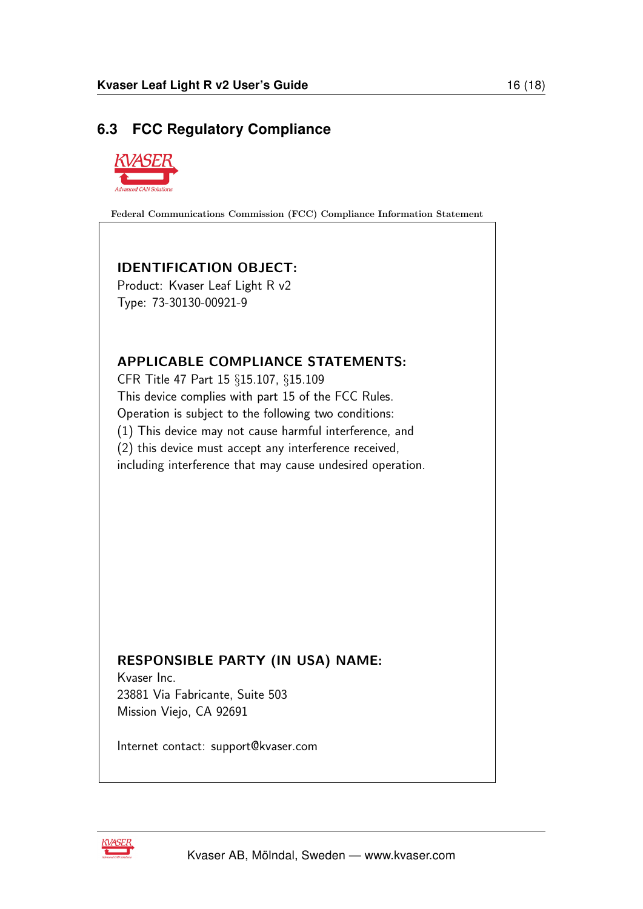#### <span id="page-15-0"></span>6.3 FCC Regulatory Compliance



Federal Communications Commission (FCC) Compliance Information Statement

#### IDENTIFICATION OBJECT:

Product: Kvaser Leaf Light R v2 Type: 73-30130-00921-9

#### APPLICABLE COMPLIANCE STATEMENTS:

CFR Title 47 Part 15 §15.107, §15.109 This device complies with part 15 of the FCC Rules. Operation is subject to the following two conditions: (1) This device may not cause harmful interference, and (2) this device must accept any interference received, including interference that may cause undesired operation.

#### RESPONSIBLE PARTY (IN USA) NAME:

Kvaser Inc. 23881 Via Fabricante, Suite 503 Mission Viejo, CA 92691

Internet contact: support@kvaser.com

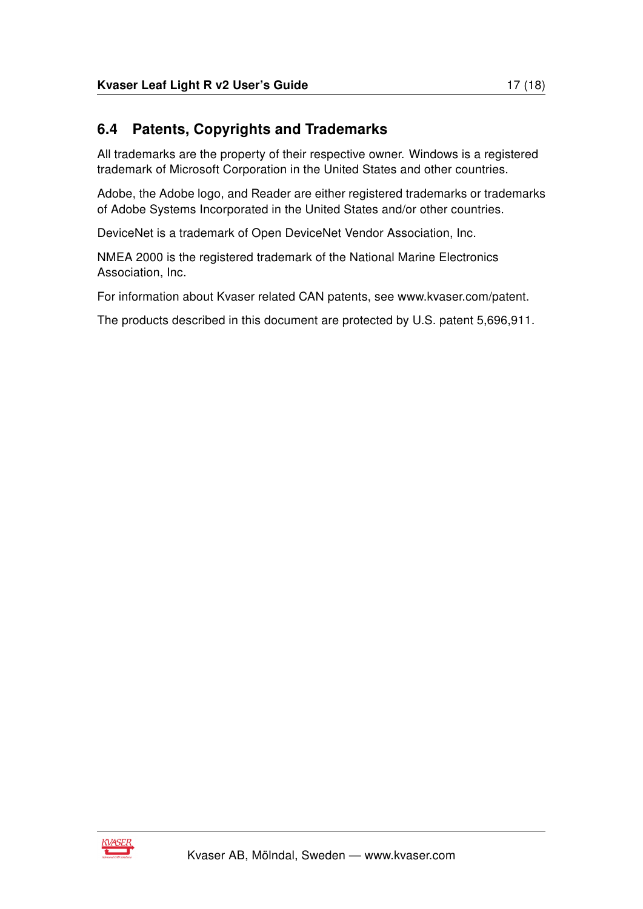### <span id="page-16-0"></span>6.4 Patents, Copyrights and Trademarks

All trademarks are the property of their respective owner. Windows is a registered trademark of Microsoft Corporation in the United States and other countries.

Adobe, the Adobe logo, and Reader are either registered trademarks or trademarks of Adobe Systems Incorporated in the United States and/or other countries.

DeviceNet is a trademark of Open DeviceNet Vendor Association, Inc.

NMEA 2000 is the registered trademark of the National Marine Electronics Association, Inc.

For information about Kvaser related CAN patents, see [www.kvaser.com/patent.](https://www.kvaser.com/patent/)

The products described in this document are protected by U.S. patent 5,696,911.